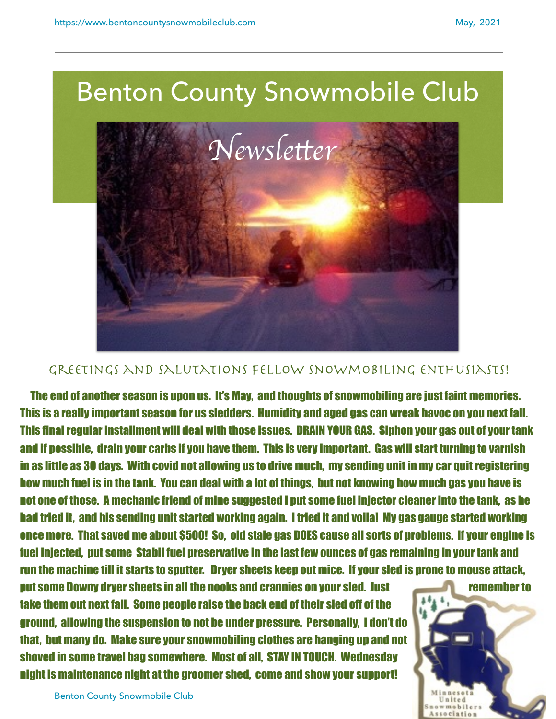

## GREETINGS AND SALUTATIONS FELLOW SNOWMOBILING ENTHUSIASTS!

 The end of another season is upon us. It's May, and thoughts of snowmobiling are just faint memories. This is a really important season for us sledders. Humidity and aged gas can wreak havoc on you next fall. This final regular installment will deal with those issues. DRAIN YOUR GAS. Siphon your gas out of your tank and if possible, drain your carbs if you have them. This is very important. Gas will start turning to varnish in as little as 30 days. With covid not allowing us to drive much, my sending unit in my car quit registering how much fuel is in the tank. You can deal with a lot of things, but not knowing how much gas you have is not one of those. A mechanic friend of mine suggested I put some fuel injector cleaner into the tank, as he had tried it, and his sending unit started working again. I tried it and voila! My gas gauge started working once more. That saved me about \$500! So, old stale gas DOES cause all sorts of problems. If your engine is fuel injected, put some Stabil fuel preservative in the last few ounces of gas remaining in your tank and run the machine till it starts to sputter. Dryer sheets keep out mice. If your sled is prone to mouse attack,

put some Downy dryer sheets in all the nooks and crannies on your sled. Just **remember to** remember to take them out next fall. Some people raise the back end of their sled off of the ground, allowing the suspension to not be under pressure. Personally, I don't do that, but many do. Make sure your snowmobiling clothes are hanging up and not shoved in some travel bag somewhere. Most of all, STAY IN TOUCH. Wednesday night is maintenance night at the groomer shed, come and show your support!



Benton County Snowmobile Club 1